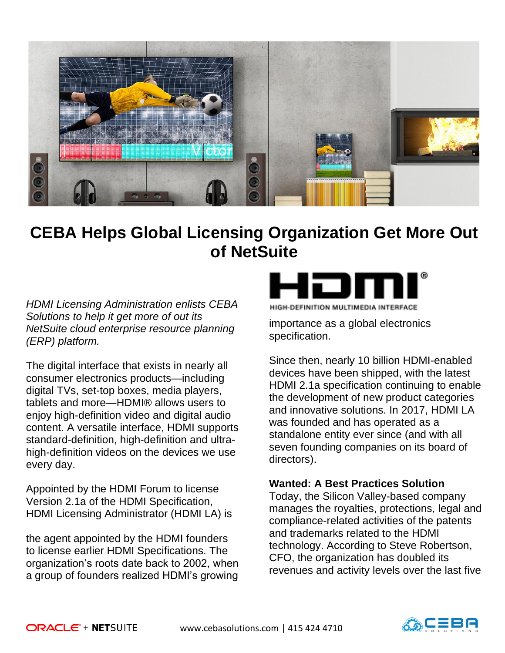

# **CEBA Helps Global Licensing Organization Get More Out of NetSuite**

*HDMI Licensing Administration enlists CEBA Solutions to help it get more of out its NetSuite cloud enterprise resource planning (ERP) platform.* 

The digital interface that exists in nearly all consumer electronics products—including digital TVs, set-top boxes, media players, tablets and more—HDMI® allows users to enjoy high-definition video and digital audio content. A versatile interface, HDMI supports standard-definition, high-definition and ultrahigh-definition videos on the devices we use every day.

Appointed by the HDMI Forum to license Version 2.1a of the HDMI Specification, HDMI Licensing Administrator (HDMI LA) is

the agent appointed by the HDMI founders to license earlier HDMI Specifications. The organization's roots date back to 2002, when a group of founders realized HDMI's growing



**IIGH-DEFINITION MULTIMEDIA INTER** 

importance as a global electronics specification.

Since then, nearly 10 billion HDMI-enabled devices have been shipped, with the latest HDMI 2.1a specification continuing to enable the development of new product categories and innovative solutions. In 2017, HDMI LA was founded and has operated as a standalone entity ever since (and with all seven founding companies on its board of directors).

### **Wanted: A Best Practices Solution**

Today, the Silicon Valley-based company manages the royalties, protections, legal and compliance-related activities of the patents and trademarks related to the HDMI technology. According to Steve Robertson, CFO, the organization has doubled its revenues and activity levels over the last five

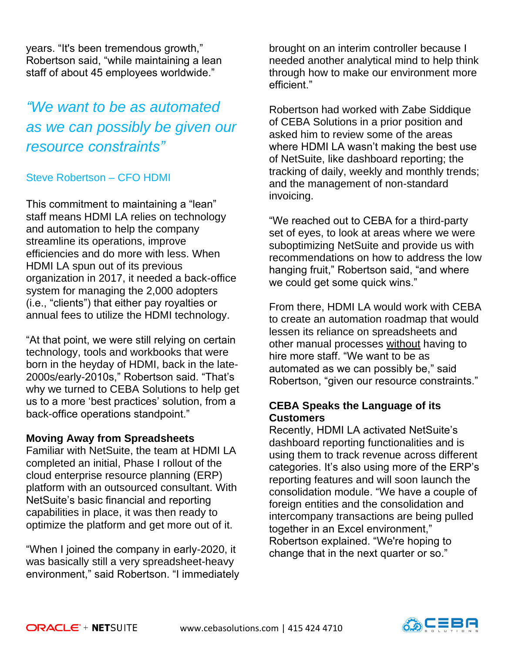years. "It's been tremendous growth," Robertson said, "while maintaining a lean staff of about 45 employees worldwide."

# *"We want to be as automated as we can possibly be given our resource constraints"*

### Steve Robertson – CFO HDMI

This commitment to maintaining a "lean" staff means HDMI LA relies on technology and automation to help the company streamline its operations, improve efficiencies and do more with less. When HDMI LA spun out of its previous organization in 2017, it needed a back-office system for managing the 2,000 adopters (i.e., "clients") that either pay royalties or annual fees to utilize the HDMI technology.

"At that point, we were still relying on certain technology, tools and workbooks that were born in the heyday of HDMI, back in the late-2000s/early-2010s," Robertson said. "That's why we turned to CEBA Solutions to help get us to a more 'best practices' solution, from a back-office operations standpoint."

### **Moving Away from Spreadsheets**

Familiar with NetSuite, the team at HDMI LA completed an initial, Phase I rollout of the cloud enterprise resource planning (ERP) platform with an outsourced consultant. With NetSuite's basic financial and reporting capabilities in place, it was then ready to optimize the platform and get more out of it.

"When I joined the company in early-2020, it was basically still a very spreadsheet-heavy environment," said Robertson. "I immediately

brought on an interim controller because I needed another analytical mind to help think through how to make our environment more efficient."

Robertson had worked with Zabe Siddique of CEBA Solutions in a prior position and asked him to review some of the areas where HDMI LA wasn't making the best use of NetSuite, like dashboard reporting; the tracking of daily, weekly and monthly trends; and the management of non-standard invoicing.

"We reached out to CEBA for a third-party set of eyes, to look at areas where we were suboptimizing NetSuite and provide us with recommendations on how to address the low hanging fruit," Robertson said, "and where we could get some quick wins."

From there, HDMI LA would work with CEBA to create an automation roadmap that would lessen its reliance on spreadsheets and other manual processes without having to hire more staff. "We want to be as automated as we can possibly be," said Robertson, "given our resource constraints."

## **CEBA Speaks the Language of its Customers**

Recently, HDMI LA activated NetSuite's dashboard reporting functionalities and is using them to track revenue across different categories. It's also using more of the ERP's reporting features and will soon launch the consolidation module. "We have a couple of foreign entities and the consolidation and intercompany transactions are being pulled together in an Excel environment," Robertson explained. "We're hoping to change that in the next quarter or so."